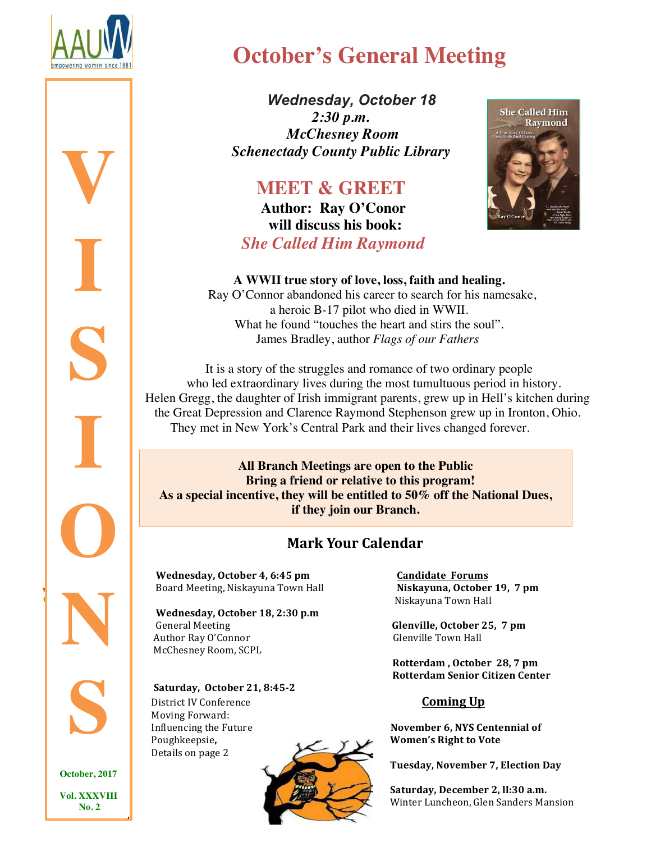

**V**

**I**

**S**

**I**

# **October's General Meeting**

 *Wednesday, October 18 2:30 p.m. McChesney Room Schenectady County Public Library*

# **MEET & GREET Author: Ray O'Conor**

 **will discuss his book:**  *She Called Him Raymond*



#### **A WWII true story of love, loss, faith and healing.**

 Ray O'Connor abandoned his career to search for his namesake, a heroic B-17 pilot who died in WWII. What he found "touches the heart and stirs the soul". James Bradley, author *Flags of our Fathers*

 It is a story of the struggles and romance of two ordinary people who led extraordinary lives during the most tumultuous period in history. Helen Gregg, the daughter of Irish immigrant parents, grew up in Hell's kitchen during the Great Depression and Clarence Raymond Stephenson grew up in Ironton, Ohio. They met in New York's Central Park and their lives changed forever.

**All Branch Meetings are open to the Public Bring a friend or relative to this program! As a special incentive, they will be entitled to 50% off the National Dues, if they join our Branch.**

#### **Mark Your Calendar**

Wednesday, October 4, 6:45 pm Candidate Forums Board Meeting, Niskayuna Town Hall **Niskayuna, October 19, 7 pm** 

Wednesday, October 18, 2:30 p.m General Meeting *CRECO* **CRECO CRECO CRECO CRECO CRECO CRECO CRECO CRECO CRECO CRECO CRECO CRECO CRECO CRECO CRECO CRECO CRECO CRECO CRECO CRECO CRECO CRECO CRECO C** Author Ray O'Connor and a controlle Town Hall and the Controlle Town Hall and the Controlle Town Hall and the Controlle Town Hall and the Controlle Town Hall and the Controlle Town Hall and the Controlle Town Hall and the McChesney Room, SCPL

 $\blacksquare$ **S**

**O**

**N**

**C** October, 2017

*<u></u>* 

**Vol. XXXVIII No. 2**

,

**Saturday, October 21, 8:45-2** District IV Conference *Coming Up* Moving Forward: Poughkeepsie,  $\sqrt{2}$  **Women's Right to Vote** Details on page 2



 Niskayuna Town Hall

Rotterdam, October 28, 7 pm **Rotterdam Senior Citizen Center** 

Influencing the Future *November 6, NYS Centennial of November 6, NYS Centennial of* 

Tuesday, November 7, Election Day

Saturday, December 2, ll:30 a.m. Winter Luncheon, Glen Sanders Mansion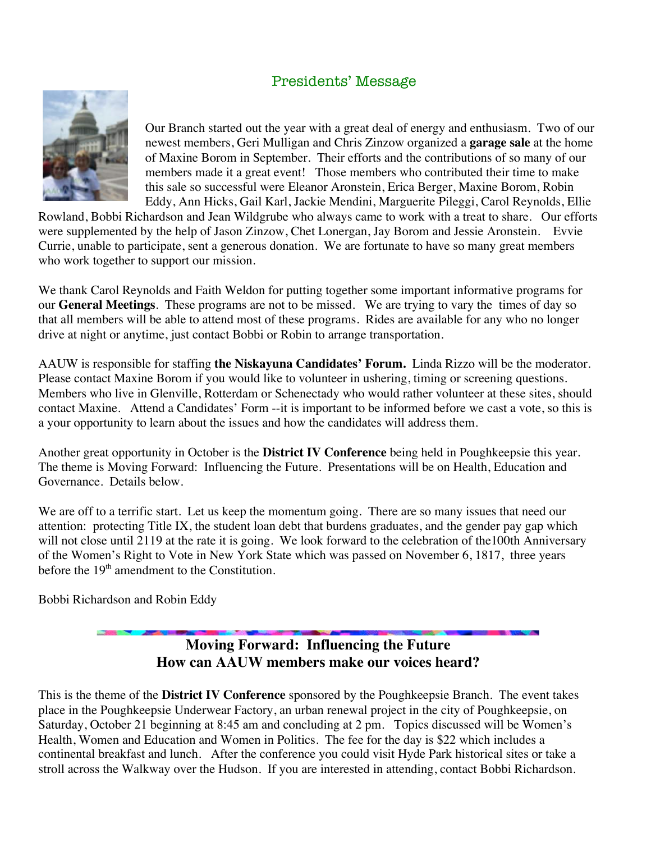#### Presidents' Message



Our Branch started out the year with a great deal of energy and enthusiasm. Two of our newest members, Geri Mulligan and Chris Zinzow organized a **garage sale** at the home of Maxine Borom in September. Their efforts and the contributions of so many of our members made it a great event! Those members who contributed their time to make this sale so successful were Eleanor Aronstein, Erica Berger, Maxine Borom, Robin Eddy, Ann Hicks, Gail Karl, Jackie Mendini, Marguerite Pileggi, Carol Reynolds, Ellie

Rowland, Bobbi Richardson and Jean Wildgrube who always came to work with a treat to share. Our efforts were supplemented by the help of Jason Zinzow, Chet Lonergan, Jay Borom and Jessie Aronstein. Evvie Currie, unable to participate, sent a generous donation. We are fortunate to have so many great members who work together to support our mission.

We thank Carol Reynolds and Faith Weldon for putting together some important informative programs for our **General Meetings**. These programs are not to be missed. We are trying to vary the times of day so that all members will be able to attend most of these programs. Rides are available for any who no longer drive at night or anytime, just contact Bobbi or Robin to arrange transportation.

AAUW is responsible for staffing **the Niskayuna Candidates' Forum.** Linda Rizzo will be the moderator. Please contact Maxine Borom if you would like to volunteer in ushering, timing or screening questions. Members who live in Glenville, Rotterdam or Schenectady who would rather volunteer at these sites, should contact Maxine. Attend a Candidates' Form --it is important to be informed before we cast a vote, so this is a your opportunity to learn about the issues and how the candidates will address them.

Another great opportunity in October is the **District IV Conference** being held in Poughkeepsie this year. The theme is Moving Forward: Influencing the Future. Presentations will be on Health, Education and Governance. Details below.

We are off to a terrific start. Let us keep the momentum going. There are so many issues that need our attention: protecting Title IX, the student loan debt that burdens graduates, and the gender pay gap which will not close until 2119 at the rate it is going. We look forward to the celebration of the100th Anniversary of the Women's Right to Vote in New York State which was passed on November 6, 1817, three years before the  $19<sup>th</sup>$  amendment to the Constitution.

Bobbi Richardson and Robin Eddy

#### **Moving Forward: Influencing the Future How can AAUW members make our voices heard?**

This is the theme of the **District IV Conference** sponsored by the Poughkeepsie Branch. The event takes place in the Poughkeepsie Underwear Factory, an urban renewal project in the city of Poughkeepsie, on Saturday, October 21 beginning at 8:45 am and concluding at 2 pm. Topics discussed will be Women's Health, Women and Education and Women in Politics. The fee for the day is \$22 which includes a continental breakfast and lunch. After the conference you could visit Hyde Park historical sites or take a stroll across the Walkway over the Hudson. If you are interested in attending, contact Bobbi Richardson.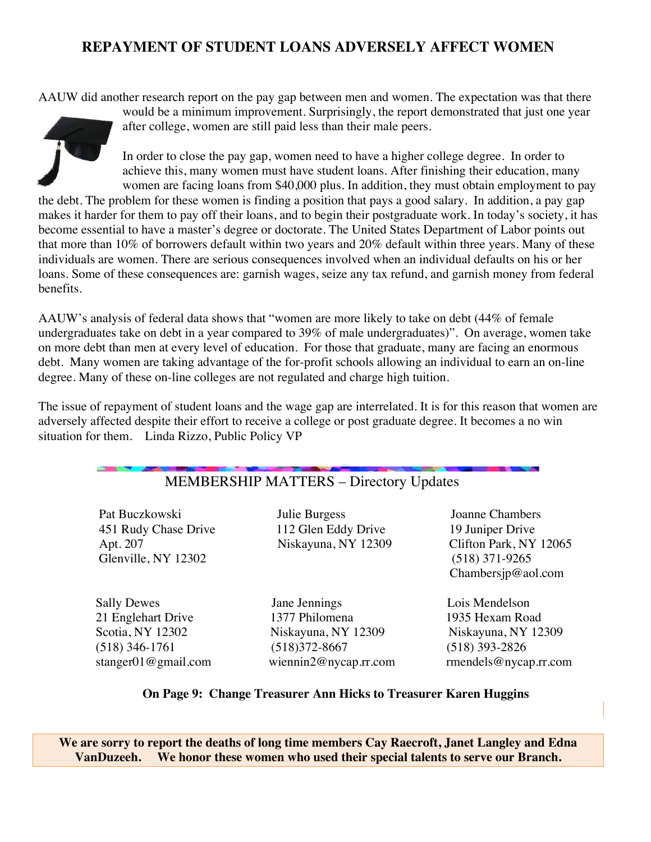#### **REPAYMENT OF STUDENT LOANS ADVERSELY AFFECT WOMEN**

AAUW did another research report on the pay gap between men and women. The expectation was that there



would be a minimum improvement. Surprisingly, the report demonstrated that just one year after college, women are still paid less than their male peers.

In order to close the pay gap, women need to have a higher college degree. In order to achieve this, many women must have student loans. After finishing their education, many women are facing loans from \$40,000 plus. In addition, they must obtain employment to pay

the debt. The problem for these women is finding a position that pays a good salary. In addition, a pay gap makes it harder for them to pay off their loans, and to begin their postgraduate work. In today's society, it has become essential to have a master's degree or doctorate. The United States Department of Labor points out that more than 10% of borrowers default within two years and 20% default within three years. Many of these individuals are women. There are serious consequences involved when an individual defaults on his or her loans. Some of these consequences are: garnish wages, seize any tax refund, and garnish money from federal benefits.

AAUW's analysis of federal data shows that "women are more likely to take on debt (44% of female undergraduates take on debt in a year compared to 39% of male undergraduates)". On average, women take on more debt than men at every level of education. For those that graduate, many are facing an enormous debt. Many women are taking advantage of the for-profit schools allowing an individual to earn an on-line degree. Many of these on-line colleges are not regulated and charge high tuition.

The issue of repayment of student loans and the wage gap are interrelated. It is for this reason that women are adversely affected despite their effort to receive a college or post graduate degree. It becomes a no win situation for them. Linda Rizzo, Public Policy VP

#### MEMBERSHIP MATTERS – Directory Updates

 Pat Buczkowski Julie Burgess Joanne Chambers 451 Rudy Chase Drive 112 Glen Eddy Drive 19 Juniper Drive Glenville, NY 12302 (518) 371-9265

 Sally Dewes Jane Jennings Lois Mendelson 21 Englehart Drive 1377 Philomena 1935 Hexam Road Scotia, NY 12302 Niskayuna, NY 12309 Niskayuna, NY 12309 (518) 346-1761 (518)372-8667 (518) 393-2826

 Apt. 207 Niskayuna, NY 12309 Clifton Park, NY 12065 Chambersjp@aol.com

stanger01@gmail.com wiennin2@nycap.rr.com rmendels@nycap.rr.com

#### **On Page 9: Change Treasurer Ann Hicks to Treasurer Karen Huggins**

**We are sorry to report the deaths of long time members Cay Raecroft, Janet Langley and Edna VanDuzeeh. We honor these women who used their special talents to serve our Branch.**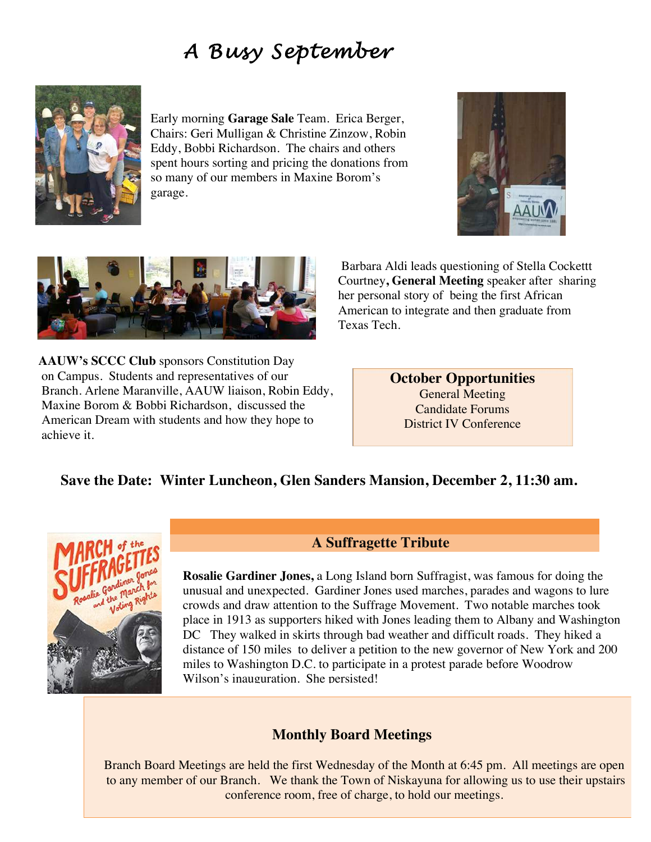## *A Busy September*



Early morning **Garage Sale** Team. Erica Berger, Chairs: Geri Mulligan & Christine Zinzow, Robin Eddy, Bobbi Richardson. The chairs and others spent hours sorting and pricing the donations from so many of our members in Maxine Borom's garage.





 Barbara Aldi leads questioning of Stella Cockettt Courtney**, General Meeting** speaker after sharing her personal story of being the first African American to integrate and then graduate from Texas Tech.

**AAUW's SCCC Club** sponsors Constitution Day on Campus. Students and representatives of our Branch. Arlene Maranville, AAUW liaison, Robin Eddy, Maxine Borom & Bobbi Richardson, discussed the American Dream with students and how they hope to achieve it.

**October Opportunities** General Meeting Candidate Forums District IV Conference

#### **Save the Date: Winter Luncheon, Glen Sanders Mansion, December 2, 11:30 am.**



**A Suffragette Tribute**

**Rosalie Gardiner Jones,** a Long Island born Suffragist, was famous for doing the unusual and unexpected. Gardiner Jones used marches, parades and wagons to lure crowds and draw attention to the Suffrage Movement. Two notable marches took place in 1913 as supporters hiked with Jones leading them to Albany and Washington DC They walked in skirts through bad weather and difficult roads. They hiked a distance of 150 miles to deliver a petition to the new governor of New York and 200 miles to Washington D.C. to participate in a protest parade before Woodrow Wilson's inauguration. She persisted!

#### **Monthly Board Meetings**

Branch Board Meetings are held the first Wednesday of the Month at 6:45 pm. All meetings are open to any member of our Branch. We thank the Town of Niskayuna for allowing us to use their upstairs conference room, free of charge, to hold our meetings.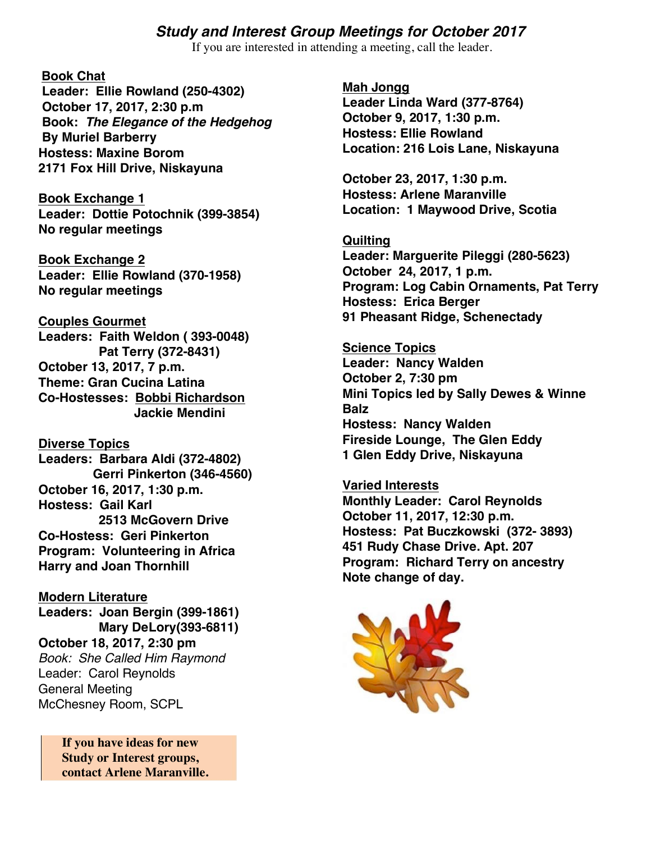#### *Study and Interest Group Meetings for October 2017*

If you are interested in attending a meeting, call the leader.

#### **Book Chat**

**Leader: Ellie Rowland (250-4302) October 17, 2017, 2:30 p.m Book:** *The Elegance of the Hedgehog* **By Muriel Barberry Hostess: Maxine Borom 2171 Fox Hill Drive, Niskayuna**

**Book Exchange 1 Leader: Dottie Potochnik (399-3854) No regular meetings**

**Book Exchange 2 Leader: Ellie Rowland (370-1958) No regular meetings**

**Couples Gourmet**

**Leaders: Faith Weldon ( 393-0048) Pat Terry (372-8431) October 13, 2017, 7 p.m. Theme: Gran Cucina Latina Co-Hostesses: Bobbi Richardson Jackie Mendini**

**Diverse Topics Leaders: Barbara Aldi (372-4802) Gerri Pinkerton (346-4560) October 16, 2017, 1:30 p.m. Hostess: Gail Karl 2513 McGovern Drive Co-Hostess: Geri Pinkerton Program: Volunteering in Africa Harry and Joan Thornhill**

### **Modern Literature**

**Leaders: Joan Bergin (399-1861) Mary DeLory(393-6811) October 18, 2017, 2:30 pm** *Book: She Called Him Raymond* Leader: Carol Reynolds General Meeting McChesney Room, SCPL

> **If you have ideas for new Study or Interest groups, contact Arlene Maranville.**

**Mah Jongg Leader Linda Ward (377-8764) October 9, 2017, 1:30 p.m. Hostess: Ellie Rowland Location: 216 Lois Lane, Niskayuna**

**October 23, 2017, 1:30 p.m. Hostess: Arlene Maranville Location: 1 Maywood Drive, Scotia**

**Quilting Leader: Marguerite Pileggi (280-5623) October 24, 2017, 1 p.m. Program: Log Cabin Ornaments, Pat Terry Hostess: Erica Berger 91 Pheasant Ridge, Schenectady**

**Science Topics Leader: Nancy Walden October 2, 7:30 pm Mini Topics led by Sally Dewes & Winne Balz Hostess: Nancy Walden Fireside Lounge, The Glen Eddy 1 Glen Eddy Drive, Niskayuna**

**Varied Interests Monthly Leader: Carol Reynolds October 11, 2017, 12:30 p.m. Hostess: Pat Buczkowski (372- 3893) 451 Rudy Chase Drive. Apt. 207 Program: Richard Terry on ancestry Note change of day.**